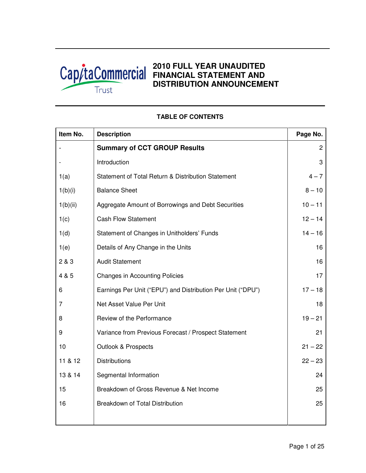

# **2010 FULL YEAR UNAUDITED FINANCIAL STATEMENT AND DISTRIBUTION ANNOUNCEMENT**

| Item No. | <b>Description</b>                                          | Page No.  |
|----------|-------------------------------------------------------------|-----------|
|          | <b>Summary of CCT GROUP Results</b>                         | 2         |
|          | Introduction                                                | 3         |
| 1(a)     | Statement of Total Return & Distribution Statement          | $4 - 7$   |
| 1(b)(i)  | <b>Balance Sheet</b>                                        | $8 - 10$  |
| 1(b)(ii) | Aggregate Amount of Borrowings and Debt Securities          | $10 - 11$ |
| 1(c)     | <b>Cash Flow Statement</b>                                  | $12 - 14$ |
| 1(d)     | Statement of Changes in Unitholders' Funds                  | $14 - 16$ |
| 1(e)     | Details of Any Change in the Units                          | 16        |
| 2 & 3    | <b>Audit Statement</b>                                      | 16        |
| 4 & 5    | <b>Changes in Accounting Policies</b>                       | 17        |
| 6        | Earnings Per Unit ("EPU") and Distribution Per Unit ("DPU") | $17 - 18$ |
| 7        | Net Asset Value Per Unit                                    | 18        |
| 8        | Review of the Performance                                   | $19 - 21$ |
| 9        | Variance from Previous Forecast / Prospect Statement        | 21        |
| 10       | Outlook & Prospects                                         | $21 - 22$ |
| 11 & 12  | <b>Distributions</b>                                        | $22 - 23$ |
| 13 & 14  | Segmental Information                                       | 24        |
| 15       | Breakdown of Gross Revenue & Net Income                     | 25        |
| 16       | <b>Breakdown of Total Distribution</b>                      | 25        |
|          |                                                             |           |

## **TABLE OF CONTENTS**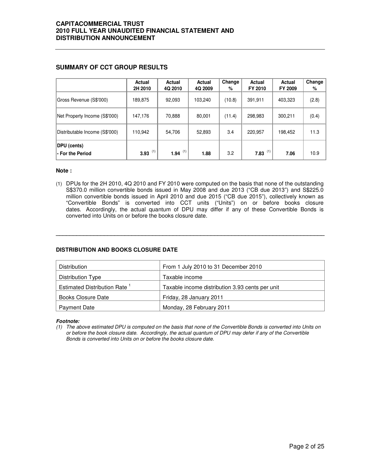## **SUMMARY OF CCT GROUP RESULTS**

|                                         | Actual<br>2H 2010 | Actual<br>4Q 2010 | Actual<br>4Q 2009 | Change<br>% | Actual<br>FY 2010 | Actual<br>FY 2009 | Change<br>% |
|-----------------------------------------|-------------------|-------------------|-------------------|-------------|-------------------|-------------------|-------------|
| Gross Revenue (S\$'000)                 | 189,875           | 92,093            | 103,240           | (10.8)      | 391,911           | 403,323           | (2.8)       |
| Net Property Income (S\$'000)           | 147,176           | 70,888            | 80,001            | (11.4)      | 298,983           | 300,211           | (0.4)       |
| Distributable Income (S\$'000)          | 110,942           | 54,706            | 52,893            | 3.4         | 220,957           | 198,452           | 11.3        |
| <b>DPU</b> (cents)<br>l- For the Period | (1)<br>3.93       | 1.94 $(1)$        | 1.88              | 3.2         | (1)<br>7.83       | 7.06              | 10.9        |

#### **Note :**

(1) DPUs for the 2H 2010, 4Q 2010 and FY 2010 were computed on the basis that none of the outstanding S\$370.0 million convertible bonds issued in May 2008 and due 2013 ("CB due 2013") and S\$225.0 million convertible bonds issued in April 2010 and due 2015 ("CB due 2015"), collectively known as "Convertible Bonds" is converted into CCT units ("Units") on or before books closure dates. Accordingly, the actual quantum of DPU may differ if any of these Convertible Bonds is converted into Units on or before the books closure date.

**\_\_\_\_\_\_\_\_\_\_\_\_\_\_\_\_\_\_\_\_\_\_\_\_\_\_\_\_\_\_\_\_\_\_\_\_\_\_\_\_\_\_\_\_\_\_\_\_\_\_\_\_\_\_\_\_\_\_\_\_\_\_\_\_\_\_\_\_\_\_\_\_\_\_\_\_\_\_** 

## **DISTRIBUTION AND BOOKS CLOSURE DATE**

| <b>Distribution</b>                      | From 1 July 2010 to 31 December 2010            |
|------------------------------------------|-------------------------------------------------|
| Distribution Type                        | Taxable income                                  |
| Estimated Distribution Rate <sup>1</sup> | Taxable income distribution 3.93 cents per unit |
| Books Closure Date                       | Friday, 28 January 2011                         |
| Payment Date                             | Monday, 28 February 2011                        |

#### **Footnote:**

(1) The above estimated DPU is computed on the basis that none of the Convertible Bonds is converted into Units on or before the book closure date. Accordingly, the actual quantum of DPU may defer if any of the Convertible Bonds is converted into Units on or before the books closure date.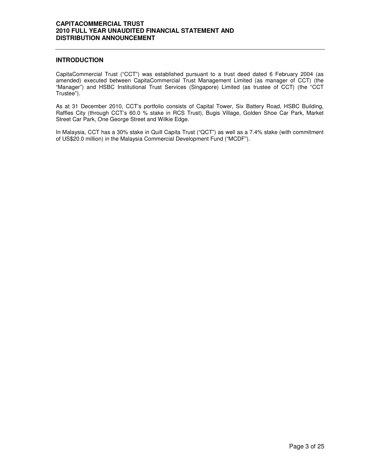## **INTRODUCTION**

CapitaCommercial Trust ("CCT") was established pursuant to a trust deed dated 6 February 2004 (as amended) executed between CapitaCommercial Trust Management Limited (as manager of CCT) (the "Manager") and HSBC Institutional Trust Services (Singapore) Limited (as trustee of CCT) (the "CCT Trustee").

As at 31 December 2010, CCT's portfolio consists of Capital Tower, Six Battery Road, HSBC Building, Raffles City (through CCT's 60.0 % stake in RCS Trust), Bugis Village, Golden Shoe Car Park, Market Street Car Park, One George Street and Wilkie Edge.

In Malaysia, CCT has a 30% stake in Quill Capita Trust ("QCT") as well as a 7.4% stake (with commitment of US\$20.0 million) in the Malaysia Commercial Development Fund ("MCDF").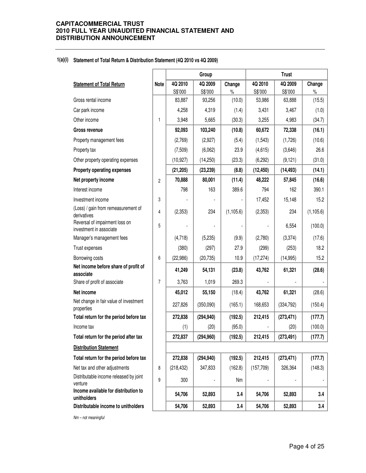#### **1(a)(i) Statement of Total Return & Distribution Statement (4Q 2010 vs 4Q 2009)**

|                                                           |                |            | Group      |            | <b>Trust</b> |            |            |  |
|-----------------------------------------------------------|----------------|------------|------------|------------|--------------|------------|------------|--|
| <b>Statement of Total Return</b>                          | <b>Note</b>    | 4Q 2010    | 4Q 2009    | Change     | 4Q 2010      | 4Q 2009    | Change     |  |
|                                                           |                | S\$'000    | S\$'000    | $\%$       | S\$'000      | S\$'000    | $\%$       |  |
| Gross rental income                                       |                | 83,887     | 93,256     | (10.0)     | 53,986       | 63,888     | (15.5)     |  |
| Car park income                                           |                | 4,258      | 4,319      | (1.4)      | 3,431        | 3,467      | (1.0)      |  |
| Other income                                              | 1              | 3,948      | 5,665      | (30.3)     | 3,255        | 4,983      | (34.7)     |  |
| Gross revenue                                             |                | 92,093     | 103,240    | (10.8)     | 60,672       | 72,338     | (16.1)     |  |
| Property management fees                                  |                | (2,769)    | (2,927)    | (5.4)      | (1, 543)     | (1,726)    | (10.6)     |  |
| Property tax                                              |                | (7,509)    | (6,062)    | 23.9       | (4,615)      | (3,646)    | 26.6       |  |
| Other property operating expenses                         |                | (10, 927)  | (14, 250)  | (23.3)     | (6, 292)     | (9, 121)   | (31.0)     |  |
| <b>Property operating expenses</b>                        |                | (21, 205)  | (23, 239)  | (8.8)      | (12, 450)    | (14, 493)  | (14.1)     |  |
| Net property income                                       | $\overline{c}$ | 70,888     | 80,001     | (11.4)     | 48,222       | 57,845     | (16.6)     |  |
| Interest income                                           |                | 798        | 163        | 389.6      | 794          | 162        | 390.1      |  |
| Investment income                                         | 3              |            |            |            | 17,452       | 15,148     | 15.2       |  |
| (Loss) / gain from remeasurement of<br>derivatives        | 4              | (2,353)    | 234        | (1, 105.6) | (2,353)      | 234        | (1, 105.6) |  |
| Reversal of impairment loss on<br>investment in associate | 5              |            |            |            |              | 6,554      | (100.0)    |  |
| Manager's management fees                                 |                | (4,718)    | (5,235)    | (9.9)      | (2,780)      | (3,374)    | (17.6)     |  |
| Trust expenses                                            |                | (380)      | (297)      | 27.9       | (299)        | (253)      | 18.2       |  |
| Borrowing costs                                           | 6              | (22, 986)  | (20, 735)  | 10.9       | (17, 274)    | (14, 995)  | 15.2       |  |
| Net income before share of profit of<br>associate         |                | 41,249     | 54,131     | (23.8)     | 43,762       | 61,321     | (28.6)     |  |
| Share of profit of associate                              | $\overline{7}$ | 3,763      | 1,019      | 269.3      |              |            |            |  |
| Net income                                                |                | 45,012     | 55,150     | (18.4)     | 43,762       | 61,321     | (28.6)     |  |
| Net change in fair value of investment<br>properties      |                | 227,826    | (350,090)  | (165.1)    | 168,653      | (334, 792) | (150.4)    |  |
| Total return for the period before tax                    |                | 272,838    | (294, 940) | (192.5)    | 212,415      | (273, 471) | (177.7)    |  |
| Income tax                                                |                | (1)        | (20)       | (95.0)     |              | (20)       | (100.0)    |  |
| Total return for the period after tax                     |                | 272,837    | (294, 960) | (192.5)    | 212,415      | (273, 491) | (177.7)    |  |
| <b>Distribution Statement</b>                             |                |            |            |            |              |            |            |  |
| Total return for the period before tax                    |                | 272,838    | (294, 940) | (192.5)    | 212,415      | (273, 471) | (177.7)    |  |
| Net tax and other adjustments                             | 8              | (218, 432) | 347,833    | (162.8)    | (157, 709)   | 326,364    | (148.3)    |  |
| Distributable income released by joint<br>venture         | 9              | 300        |            | Nm         |              |            |            |  |
| Income available for distribution to<br>unitholders       |                | 54,706     | 52,893     | 3.4        | 54,706       | 52,893     | 3.4        |  |
| Distributable income to unitholders                       |                | 54,706     | 52,893     | 3.4        | 54,706       | 52,893     | 3.4        |  |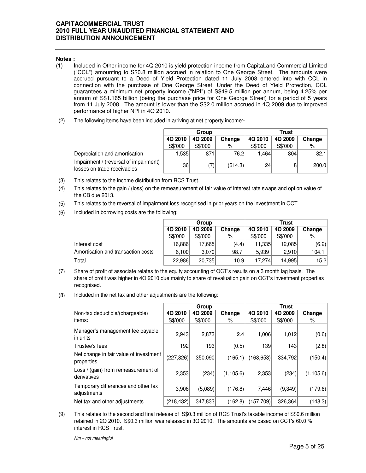## **Notes :**

- (1) Included in Other income for 4Q 2010 is yield protection income from CapitaLand Commercial Limited ("CCL") amounting to S\$0.8 million accrued in relation to One George Street. The amounts were accrued pursuant to a Deed of Yield Protection dated 11 July 2008 entered into with CCL in connection with the purchase of One George Street. Under the Deed of Yield Protection, CCL guarantees a minimum net property income ("NPI") of S\$49.5 million per annum, being 4.25% per annum of S\$1.165 billion (being the purchase price for One George Street) for a period of 5 years from 11 July 2008. The amount is lower than the S\$2.0 milIion accrued in 4Q 2009 due to improved performance of higher NPI in 4Q 2010.
- (2) The following items have been included in arriving at net property income:-

|                                                                      |         | Group   |         | <b>Trust</b> |         |        |  |
|----------------------------------------------------------------------|---------|---------|---------|--------------|---------|--------|--|
|                                                                      | 4Q 2010 | 4Q 2009 | Change  | 4Q 2010      | 4Q 2009 | Change |  |
|                                                                      | S\$'000 | S\$'000 | %       | S\$'000      | S\$'000 | %      |  |
| Depreciation and amortisation                                        | .535    | 871     | 76.2    | 1.464        | 804     | 82.1   |  |
| Impairment / (reversal of impairment)<br>losses on trade receivables | 36      | (7)     | (614.3) | 24           |         | 200.0  |  |

- (3) This relates to the income distribution from RCS Trust.
- (4) This relates to the gain / (loss) on the remeasurement of fair value of interest rate swaps and option value of the CB due 2013.
- (5) This relates to the reversal of impairment loss recognised in prior years on the investment in QCT.
- (6) Included in borrowing costs are the following:

|                                    |         | Group   |        | Trust   |         |        |  |
|------------------------------------|---------|---------|--------|---------|---------|--------|--|
|                                    | 4Q 2010 | 4Q 2009 | Change | 4Q 2010 | 4Q 2009 | Change |  |
|                                    | S\$'000 | S\$'000 | %      | S\$'000 | S\$'000 | %      |  |
| Interest cost                      | 16,886  | 17.665  | (4.4)  | 11,335  | 12,085  | (6.2)  |  |
| Amortisation and transaction costs | 6.100   | 3.070   | 98.7   | 5.939   | 2.910   | 104.1  |  |
| Total                              | 22,986  | 20.735  | 10.9   | 17.274  | 14.995  | 15.2   |  |

- (7) Share of profit of associate relates to the equity accounting of QCT's results on a 3 month lag basis. The share of profit was higher in 4Q 2010 due mainly to share of revaluation gain on QCT's investment properties recognised.
- (8) Included in the net tax and other adjustments are the following:

|                                                      |            | Group   |            | <b>Trust</b> |         |           |  |
|------------------------------------------------------|------------|---------|------------|--------------|---------|-----------|--|
| Non-tax deductible/(chargeable)                      | 4Q 2010    | 4Q 2009 | Change     | 4Q 2010      | 4Q 2009 | Change    |  |
| items:                                               | S\$'000    | S\$'000 | %          | S\$'000      | S\$'000 | %         |  |
| Manager's management fee payable<br>in units         | 2,943      | 2,873   | 2.4        | 1,006        | 1,012   | (0.6)     |  |
| Trustee's fees                                       | 192        | 193     | (0.5)      | 139          | 143     | (2.8)     |  |
| Net change in fair value of investment<br>properties | (227, 826) | 350,090 | (165.1)    | (168, 653)   | 334,792 | (150.4)   |  |
| Loss / (gain) from remeasurement of<br>derivatives   | 2,353      | (234)   | (1, 105.6) | 2,353        | (234)   | (1,105.6) |  |
| Temporary differences and other tax<br>adjustments   | 3,906      | (5,089) | (176.8)    | 7,446        | (9,349) | (179.6)   |  |
| Net tax and other adjustments                        | (218, 432) | 347,833 | (162.8)    | (157, 709)   | 326,364 | (148.3)   |  |

(9) This relates to the second and final release of S\$0.3 million of RCS Trust's taxable income of S\$0.6 million retained in 2Q 2010. S\$0.3 million was released in 3Q 2010. The amounts are based on CCT's 60.0 % interest in RCS Trust.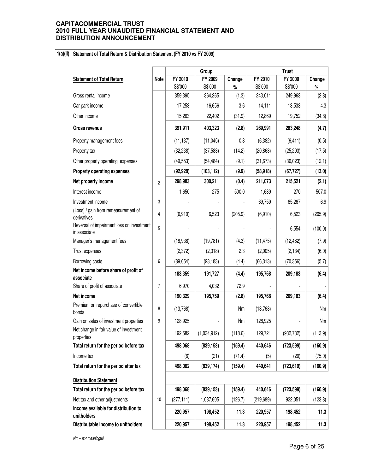#### **1(a)(ii) Statement of Total Return & Distribution Statement (FY 2010 vs FY 2009)**

|                                                           |                |            | Group       |         |            | <b>Trust</b> |         |  |
|-----------------------------------------------------------|----------------|------------|-------------|---------|------------|--------------|---------|--|
| <b>Statement of Total Return</b>                          | <b>Note</b>    | FY 2010    | FY 2009     | Change  | FY 2010    | FY 2009      | Change  |  |
|                                                           |                | S\$'000    | S\$'000     | $\%$    | S\$'000    | S\$'000      | $\%$    |  |
| Gross rental income                                       |                | 359,395    | 364,265     | (1.3)   | 243,011    | 249,963      | (2.8)   |  |
| Car park income                                           |                | 17,253     | 16,656      | 3.6     | 14,111     | 13,533       | 4.3     |  |
| Other income                                              | 1              | 15,263     | 22,402      | (31.9)  | 12,869     | 19,752       | (34.8)  |  |
| Gross revenue                                             |                | 391,911    | 403,323     | (2.8)   | 269,991    | 283,248      | (4.7)   |  |
| Property management fees                                  |                | (11, 137)  | (11, 045)   | 0.8     | (6, 382)   | (6, 411)     | (0.5)   |  |
| Property tax                                              |                | (32, 238)  | (37, 583)   | (14.2)  | (20, 863)  | (25, 293)    | (17.5)  |  |
| Other property operating expenses                         |                | (49, 553)  | (54, 484)   | (9.1)   | (31, 673)  | (36, 023)    | (12.1)  |  |
| Property operating expenses                               |                | (92, 928)  | (103, 112)  | (9.9)   | (58, 918)  | (67, 727)    | (13.0)  |  |
| Net property income                                       | $\overline{c}$ | 298,983    | 300,211     | (0.4)   | 211,073    | 215,521      | (2.1)   |  |
| Interest income                                           |                | 1,650      | 275         | 500.0   | 1,639      | 270          | 507.0   |  |
| Investment income                                         | 3              |            |             |         | 69,759     | 65,267       | 6.9     |  |
| (Loss) / gain from remeasurement of<br>derivatives        | 4              | (6,910)    | 6,523       | (205.9) | (6,910)    | 6,523        | (205.9) |  |
| Reversal of impairment loss on investment<br>in associate | 5              |            |             |         |            | 6,554        | (100.0) |  |
| Manager's management fees                                 |                | (18, 938)  | (19, 781)   | (4.3)   | (11, 475)  | (12, 462)    | (7.9)   |  |
| Trust expenses                                            |                | (2,372)    | (2,318)     | 2.3     | (2,005)    | (2, 134)     | (6.0)   |  |
| Borrowing costs                                           | 6              | (89, 054)  | (93, 183)   | (4.4)   | (66, 313)  | (70, 356)    | (5.7)   |  |
| Net income before share of profit of<br>associate         |                | 183,359    | 191,727     | (4.4)   | 195,768    | 209,183      | (6.4)   |  |
| Share of profit of associate                              | 7              | 6,970      | 4,032       | 72.9    |            |              |         |  |
| Net income                                                |                | 190,329    | 195,759     | (2.8)   | 195,768    | 209,183      | (6.4)   |  |
| Premium on repurchase of convertible<br>bonds             | 8              | (13,768)   |             | Nm      | (13,768)   |              | Nm      |  |
| Gain on sales of investment properties                    | 9              | 128,925    |             | Nm      | 128,925    |              | Nm      |  |
| Net change in fair value of investment<br>properties      |                | 192,582    | (1,034,912) | (118.6) | 129,721    | (932, 782)   | (113.9) |  |
| Total return for the period before tax                    |                | 498,068    | (839, 153)  | (159.4) | 440,646    | (723, 599)   | (160.9) |  |
| Income tax                                                |                | (6)        | (21)        | (71.4)  | (5)        | (20)         | (75.0)  |  |
| Total return for the period after tax                     |                | 498,062    | (839, 174)  | (159.4) | 440,641    | (723, 619)   | (160.9) |  |
| <b>Distribution Statement</b>                             |                |            |             |         |            |              |         |  |
| Total return for the period before tax                    |                | 498,068    | (839, 153)  | (159.4) | 440,646    | (723, 599)   | (160.9) |  |
| Net tax and other adjustments                             | 10             | (277, 111) | 1,037,605   | (126.7) | (219, 689) | 922,051      | (123.8) |  |
| Income available for distribution to<br>unitholders       |                | 220,957    | 198,452     | 11.3    | 220,957    | 198,452      | 11.3    |  |
| Distributable income to unitholders                       |                | 220,957    | 198,452     | 11.3    | 220,957    | 198,452      | 11.3    |  |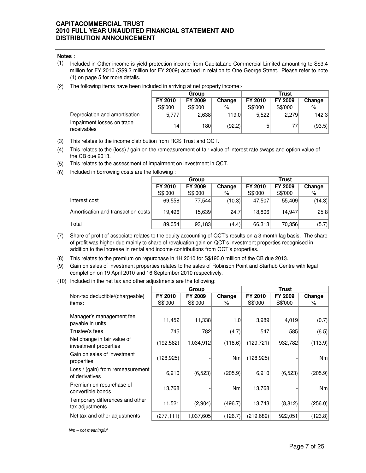#### **Notes :**

- (1) Included in Other income is yield protection income from CapitaLand Commercial Limited amounting to S\$3.4 million for FY 2010 (S\$9.3 million for FY 2009) accrued in relation to One George Street. Please refer to note (1) on page 5 for more details.
- (2) The following items have been included in arriving at net property income:-

|                                           |         | Group   |        | <b>Trust</b> |                |        |  |
|-------------------------------------------|---------|---------|--------|--------------|----------------|--------|--|
|                                           | FY 2010 | FY 2009 | Change | FY 2010      | <b>FY 2009</b> | Change |  |
|                                           | S\$'000 | S\$'000 | ℅      | S\$'000      | S\$'000        | %      |  |
| Depreciation and amortisation             | 5,777   | 2,638   | 119.0  | 5.522        | 2.279          | 142.3  |  |
| Impairment losses on trade<br>receivables | 14      | 180I    | (92.2) |              |                | (93.5) |  |

- (3) This relates to the income distribution from RCS Trust and QCT.
- (4) This relates to the (loss) / gain on the remeasurement of fair value of interest rate swaps and option value of the CB due 2013.
- (5) This relates to the assessment of impairment on investment in QCT.
- (6) Included in borrowing costs are the following :

|                                    |                              | Group   |        | <b>Trust</b> |         |        |  |
|------------------------------------|------------------------------|---------|--------|--------------|---------|--------|--|
|                                    | FY 2010<br>FY 2009<br>Change |         |        | FY 2010      | FY 2009 | Change |  |
|                                    | S\$'000                      | S\$'000 | %      | S\$'000      | S\$'000 | %      |  |
| Interest cost                      | 69,558                       | 77.544  | (10.3) | 47.507       | 55,409  | (14.3) |  |
| Amortisation and transaction costs | 19.496                       | 15,639  | 24.7   | 18.806       | 14.947  | 25.8   |  |
| Total                              | 89,054                       | 93,183  | (4.4)  | 66,313       | 70,356  | (5.7)  |  |

- (7) Share of profit of associate relates to the equity accounting of QCT's results on a 3 month lag basis. The share of profit was higher due mainly to share of revaluation gain on QCT's investment properties recognised in addition to the increase in rental and income contributions from QCT's properties.
- (8) This relates to the premium on repurchase in 1H 2010 for S\$190.0 million of the CB due 2013.
- (9) Gain on sales of investment properties relates to the sales of Robinson Point and Starhub Centre with legal completion on 19 April 2010 and 16 September 2010 respectively.
- (10) Included in the net tax and other adjustments are the following:

|                                                      |            | Group     |         | <b>Trust</b> |          |                |  |
|------------------------------------------------------|------------|-----------|---------|--------------|----------|----------------|--|
| Non-tax deductible/(chargeable)                      | FY 2010    | FY 2009   | Change  | FY 2010      | FY 2009  | Change         |  |
| items:                                               | S\$'000    | S\$'000   | ℅       | S\$'000      | S\$'000  | %              |  |
| Manager's management fee                             |            |           |         |              |          |                |  |
| payable in units                                     | 11,452     | 11,338    | 1.0     | 3,989        | 4,019    | (0.7)          |  |
| Trustee's fees                                       | 745        | 782       | (4.7)   | 547          | 585      | (6.5)          |  |
| Net change in fair value of<br>investment properties | (192, 582) | 1,034,912 | (118.6) | (129, 721)   | 932,782  | (113.9)        |  |
| Gain on sales of investment<br>properties            | (128, 925) |           | Nm      | (128, 925)   |          | N <sub>m</sub> |  |
| Loss / (gain) from remeasurement<br>of derivatives   | 6,910      | (6, 523)  | (205.9) | 6,910        | (6, 523) | (205.9)        |  |
| Premium on repurchase of<br>convertible bonds        | 13,768     |           | Nm      | 13,768       |          | Nm             |  |
| Temporary differences and other<br>tax adjustments   | 11,521     | (2,904)   | (496.7) | 13,743       | (8, 812) | (256.0)        |  |
| Net tax and other adjustments                        | (277, 111) | 1,037,605 | (126.7) | (219, 689)   | 922,051  | (123.8)        |  |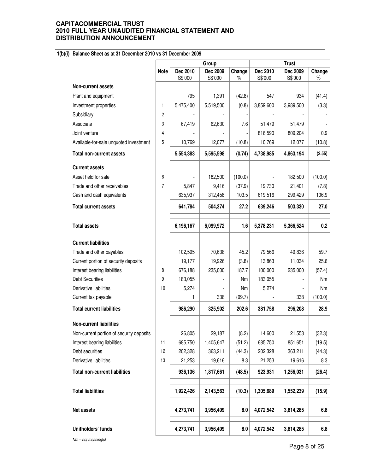## **1(b)(i) Balance Sheet as at 31 December 2010 vs 31 December 2009**

|                                          |                |           | Group     |         | <b>Trust</b> |           |         |
|------------------------------------------|----------------|-----------|-----------|---------|--------------|-----------|---------|
|                                          | <b>Note</b>    | Dec 2010  | Dec 2009  | Change  | Dec 2010     | Dec 2009  | Change  |
| <b>Non-current assets</b>                |                | S\$'000   | S\$'000   | $\%$    | S\$'000      | S\$'000   | $\%$    |
|                                          |                |           |           |         |              |           |         |
| Plant and equipment                      |                | 795       | 1,391     | (42.8)  | 547          | 934       | (41.4)  |
| Investment properties                    | $\mathbf{1}$   | 5,475,400 | 5,519,500 | (0.8)   | 3,859,600    | 3,989,500 | (3.3)   |
| Subsidiary                               | $\overline{c}$ |           |           |         |              |           |         |
| Associate                                | 3              | 67,419    | 62,630    | 7.6     | 51,479       | 51,479    |         |
| Joint venture                            | 4              |           |           |         | 816,590      | 809,204   | 0.9     |
| Available-for-sale unquoted investment   | 5              | 10,769    | 12,077    | (10.8)  | 10,769       | 12,077    | (10.8)  |
| <b>Total non-current assets</b>          |                | 5,554,383 | 5,595,598 | (0.74)  | 4,738,985    | 4,863,194 | (2.55)  |
| <b>Current assets</b>                    |                |           |           |         |              |           |         |
| Asset held for sale                      | 6              |           | 182,500   | (100.0) |              | 182,500   | (100.0) |
| Trade and other receivables              | $\overline{7}$ | 5,847     | 9,416     | (37.9)  | 19,730       | 21,401    | (7.8)   |
| Cash and cash equivalents                |                | 635,937   | 312,458   | 103.5   | 619,516      | 299,429   | 106.9   |
| <b>Total current assets</b>              |                | 641,784   | 504,374   | 27.2    | 639,246      | 503,330   | 27.0    |
|                                          |                |           |           |         |              |           |         |
| <b>Total assets</b>                      |                | 6,196,167 | 6,099,972 | 1.6     | 5,378,231    | 5,366,524 | 0.2     |
| <b>Current liabilities</b>               |                |           |           |         |              |           |         |
| Trade and other payables                 |                | 102,595   | 70,638    | 45.2    | 79,566       | 49,836    | 59.7    |
| Current portion of security deposits     |                | 19,177    | 19,926    | (3.8)   | 13,863       | 11,034    | 25.6    |
| Interest bearing liabilities             | 8              | 676,188   | 235,000   | 187.7   | 100,000      | 235,000   | (57.4)  |
| <b>Debt Securities</b>                   | 9              | 183,055   |           | Nm      | 183,055      |           | Nm      |
| Derivative liabilities                   | 10             | 5,274     |           | Nm      | 5,274        |           | Nm      |
| Current tax payable                      |                | 1         | 338       | (99.7)  |              | 338       | (100.0) |
| <b>Total current liabilities</b>         |                | 986,290   | 325,902   | 202.6   | 381,758      | 296,208   | 28.9    |
| Non-current liabilities                  |                |           |           |         |              |           |         |
| Non-current portion of security deposits |                | 26,805    | 29,187    | (8.2)   | 14,600       | 21,553    | (32.3)  |
| Interest bearing liabilities             | 11             | 685,750   | 1,405,647 | (51.2)  | 685,750      | 851,651   | (19.5)  |
| Debt securities                          | 12             | 202,328   | 363,211   | (44.3)  | 202,328      | 363,211   | (44.3)  |
| Derivative liabilities                   | 13             | 21,253    | 19,616    | 8.3     | 21,253       | 19,616    | 8.3     |
| <b>Total non-current liabilities</b>     |                | 936,136   | 1,817,661 | (48.5)  | 923,931      | 1,256,031 | (26.4)  |
|                                          |                |           |           |         |              |           |         |
| <b>Total liabilities</b>                 |                | 1,922,426 | 2,143,563 | (10.3)  | 1,305,689    | 1,552,239 | (15.9)  |
| Net assets                               |                | 4,273,741 | 3,956,409 | 8.0     | 4,072,542    | 3,814,285 | 6.8     |
| Unitholders' funds                       |                | 4,273,741 | 3,956,409 | 8.0     | 4,072,542    | 3,814,285 | 6.8     |
| $Nm - not meaningful$                    |                |           |           |         |              |           |         |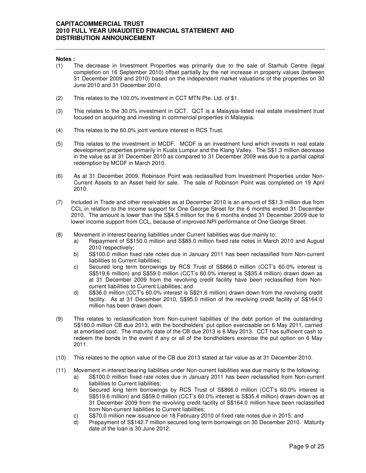#### **Notes :**

- (1) The decrease in Investment Properties was primarily due to the sale of Starhub Centre (legal completion on 16 September 2010) offset partially by the net increase in property values (between 31 December 2009 and 2010) based on the independent market valuations of the properties on 30 June 2010 and 31 December 2010.
- (2) This relates to the 100.0% investment in CCT MTN Pte. Ltd. of \$1.
- (3) This relates to the 30.0% investment in QCT. QCT is a Malaysia-listed real estate investment trust focused on acquiring and investing in commercial properties in Malaysia.
- (4) This relates to the 60.0% joint venture interest in RCS Trust.
- (5) This relates to the investment in MCDF. MCDF is an investment fund which invests in real estate development properties primarily in Kuala Lumpur and the Klang Valley. The S\$1.3 million decrease in the value as at 31 December 2010 as compared to 31 December 2009 was due to a partial capital redemption by MCDF in March 2010.
- (6) As at 31 December 2009, Robinson Point was reclassified from Investment Properties under Non-Current Assets to an Asset held for sale. The sale of Robinson Point was completed on 19 April 2010.
- (7) Included in Trade and other receivables as at December 2010 is an amount of S\$1.3 million due from CCL in relation to the income support for One George Street for the 6 months ended 31 December 2010. The amount is lower than the S\$4.5 million for the 6 months ended 31 December 2009 due to lower income support from CCL, because of improved NPI performance of One George Street.
- (8) Movement in interest bearing liabilities under Current liabilities was due mainly to:
	- a) Repayment of S\$150.0 million and S\$85.0 million fixed rate notes in March 2010 and August 2010 respectively;
	- b) S\$100.0 million fixed rate notes due in January 2011 has been reclassified from Non-current liabilities to Current liabilities;
	- c) Secured long term borrowings by RCS Trust of S\$866.0 million (CCT's 60.0% interest is S\$519.6 million) and S\$59.0 million (CCT's 60.0% interest is S\$35.4 million) drawn down as at 31 December 2009 from the revolving credit facility have been reclassified from Noncurrent liabilities to Current Liabilities; and
	- d) S\$36.0 million (CCT's 60.0% interest is S\$21.6 million) drawn down from the revolving credit facility. As at 31 December 2010, S\$95.0 million of the revolving credit facility of S\$164.0 million has been drawn down.
- (9) This relates to reclassification from Non-current liabilities of the debt portion of the outstanding S\$180.0 million CB due 2013, with the bondholders' put option exercisable on 6 May 2011, carried at amortised cost. The maturity date of the CB due 2013 is 6 May 2013. CCT has sufficient cash to redeem the bonds in the event if any or all of the bondholders exercise the put option on 6 May 2011.
- (10) This relates to the option value of the CB due 2013 stated at fair value as at 31 December 2010.
- (11) Movement in interest bearing liabilities under Non-current liabilities was due mainly to the following:
	- a) S\$100.0 million fixed rate notes due in January 2011 has been reclassified from Non-current liabilities to Current liabilities;
	- b) Secured long term borrowings by RCS Trust of S\$866.0 million (CCT's 60.0% interest is S\$519.6 million) and S\$59.0 million (CCT's 60.0% interest is S\$35.4 million) drawn down as at 31 December 2009 from the revolving credit facility of S\$164.0 million have been reclassified from Non-current liabilities to Current liabilities;
	- c) S\$70.0 million new issuance on 18 February 2010 of fixed rate notes due in 2015; and
	- d) Prepayment of S\$142.7 million secured long term borrowings on 30 December 2010. Maturity date of the loan is 30 June 2012.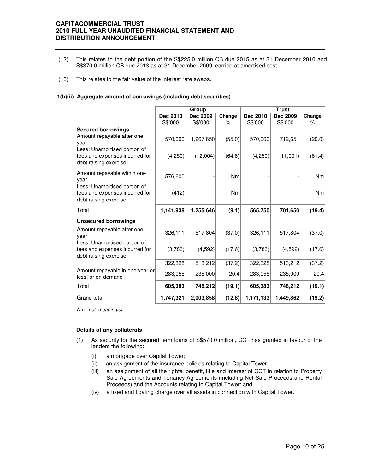- (12) This relates to the debt portion of the S\$225.0 million CB due 2015 as at 31 December 2010 and S\$370.0 million CB due 2013 as at 31 December 2009, carried at amortised cost.
- (13) This relates to the fair value of the interest rate swaps.

#### **1(b)(ii) Aggregate amount of borrowings (including debt securities)**

|                                                                                                                                                            |                    | Group                 |                  |                    | <b>Trust</b>        |                  |
|------------------------------------------------------------------------------------------------------------------------------------------------------------|--------------------|-----------------------|------------------|--------------------|---------------------|------------------|
|                                                                                                                                                            | Dec 2010           | Dec 2009              | Change           | Dec 2010           | Dec 2009            | Change           |
|                                                                                                                                                            | S\$'000            | S\$'000               | %                | S\$'000            | S\$'000             | $\%$             |
| <b>Secured borrowings</b><br>Amount repayable after one<br>year<br>Less: Unamortised portion of<br>fees and expenses incurred for<br>debt raising exercise | 570,000<br>(4,250) | 1,267,650<br>(12,004) | (55.0)<br>(64.6) | 570,000<br>(4,250) | 712,651<br>(11,001) | (20.0)<br>(61.4) |
| Amount repayable within one<br>year<br>Less: Unamortised portion of                                                                                        | 576,600            |                       | <b>Nm</b>        |                    |                     | N <sub>m</sub>   |
| fees and expenses incurred for<br>debt raising exercise                                                                                                    | (412)              |                       | Nm               |                    |                     | Nm               |
| Total                                                                                                                                                      | 1,141,938          | 1,255,646             | (9.1)            | 565,750            | 701,650             | (19.4)           |
| <b>Unsecured borrowings</b>                                                                                                                                |                    |                       |                  |                    |                     |                  |
| Amount repayable after one<br>vear                                                                                                                         | 326,111            | 517,804               | (37.0)           | 326,111            | 517,804             | (37.0)           |
| Less: Unamortised portion of<br>fees and expenses incurred for<br>debt raising exercise                                                                    | (3,783)            | (4,592)               | (17.6)           | (3,783)            | (4, 592)            | (17.6)           |
|                                                                                                                                                            | 322,328            | 513,212               | (37.2)           | 322,328            | 513,212             | (37.2)           |
| Amount repayable in one year or<br>less, or on demand                                                                                                      | 283,055            | 235,000               | 20.4             | 283,055            | 235,000             | 20.4             |
| Total                                                                                                                                                      | 605,383            | 748,212               | (19.1)           | 605,383            | 748,212             | (19.1)           |
| Grand total                                                                                                                                                | 1,747,321          | 2,003,858             | (12.8)           | 1,171,133          | 1,449,862           | (19.2)           |

Nm - not meaningful

#### **Details of any collaterals**

- (1) As security for the secured term loans of S\$570.0 million, CCT has granted in favour of the lenders the following:
	- (i) a mortgage over Capital Tower;
	- (ii) an assignment of the insurance policies relating to Capital Tower;
	- (iii) an assignment of all the rights, benefit, title and interest of CCT in relation to Property Sale Agreements and Tenancy Agreements (including Net Sale Proceeds and Rental Proceeds) and the Accounts relating to Capital Tower; and
	- (iv) a fixed and floating charge over all assets in connection with Capital Tower.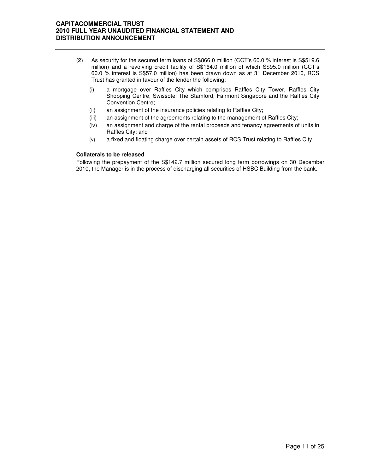- (2) As security for the secured term loans of S\$866.0 million (CCT's 60.0 % interest is S\$519.6 million) and a revolving credit facility of S\$164.0 million of which S\$95.0 million (CCT's 60.0 % interest is S\$57.0 million) has been drawn down as at 31 December 2010, RCS Trust has granted in favour of the lender the following:
	- (i) a mortgage over Raffles City which comprises Raffles City Tower, Raffles City Shopping Centre, Swissotel The Stamford, Fairmont Singapore and the Raffles City Convention Centre;
	- (ii) an assignment of the insurance policies relating to Raffles City;
	- (iii) an assignment of the agreements relating to the management of Raffles City;
	- (iv) an assignment and charge of the rental proceeds and tenancy agreements of units in Raffles City; and
	- (v) a fixed and floating charge over certain assets of RCS Trust relating to Raffles City.

#### **Collaterals to be released**

Following the prepayment of the S\$142.7 million secured long term borrowings on 30 December 2010, the Manager is in the process of discharging all securities of HSBC Building from the bank.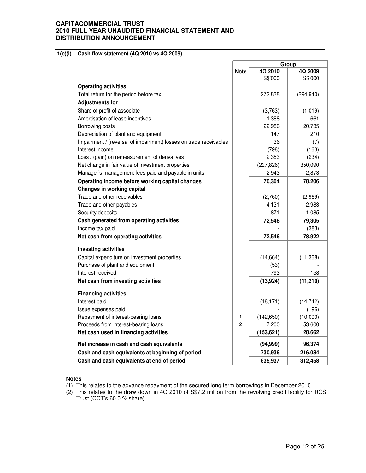## **1(c)(i) Cash flow statement (4Q 2010 vs 4Q 2009)**

|                                                                   |                | Group      |            |  |
|-------------------------------------------------------------------|----------------|------------|------------|--|
|                                                                   | <b>Note</b>    | 4Q 2010    | 4Q 2009    |  |
|                                                                   |                | S\$'000    | S\$'000    |  |
| <b>Operating activities</b>                                       |                |            |            |  |
| Total return for the period before tax                            |                | 272,838    | (294, 940) |  |
| <b>Adjustments for</b>                                            |                |            |            |  |
| Share of profit of associate                                      |                | (3,763)    | (1,019)    |  |
| Amortisation of lease incentives                                  |                | 1,388      | 661        |  |
| Borrowing costs                                                   |                | 22,986     | 20,735     |  |
| Depreciation of plant and equipment                               |                | 147        | 210        |  |
| Impairment / (reversal of impairment) losses on trade receivables |                | 36         | (7)        |  |
| Interest income                                                   |                | (798)      | (163)      |  |
| Loss / (gain) on remeasurement of derivatives                     |                | 2,353      | (234)      |  |
| Net change in fair value of investment properties                 |                | (227, 826) | 350,090    |  |
| Manager's management fees paid and payable in units               |                | 2,943      | 2,873      |  |
| Operating income before working capital changes                   |                | 70,304     | 78,206     |  |
| <b>Changes in working capital</b>                                 |                |            |            |  |
| Trade and other receivables                                       |                | (2,760)    | (2,969)    |  |
| Trade and other payables                                          |                | 4,131      | 2,983      |  |
| Security deposits                                                 |                | 871        | 1,085      |  |
| Cash generated from operating activities                          |                | 72,546     | 79,305     |  |
| Income tax paid                                                   |                |            | (383)      |  |
| Net cash from operating activities                                |                | 72,546     | 78,922     |  |
| <b>Investing activities</b>                                       |                |            |            |  |
| Capital expenditure on investment properties                      |                | (14, 664)  | (11, 368)  |  |
| Purchase of plant and equipment                                   |                | (53)       |            |  |
| Interest received                                                 |                | 793        | 158        |  |
| Net cash from investing activities                                |                | (13, 924)  | (11, 210)  |  |
| <b>Financing activities</b>                                       |                |            |            |  |
| Interest paid                                                     |                |            | (14, 742)  |  |
| Issue expenses paid                                               |                | (18, 171)  | (196)      |  |
| Repayment of interest-bearing loans                               | $\mathbf{1}$   | (142, 650) | (10,000)   |  |
| Proceeds from interest-bearing loans                              | $\overline{c}$ | 7,200      | 53,600     |  |
| Net cash used in financing activities                             |                | (153, 621) | 28,662     |  |
| Net increase in cash and cash equivalents                         |                | (94, 999)  | 96,374     |  |
| Cash and cash equivalents at beginning of period                  |                | 730,936    | 216,084    |  |
| Cash and cash equivalents at end of period                        |                | 635,937    | 312,458    |  |
|                                                                   |                |            |            |  |

#### **Notes**

- (1) This relates to the advance repayment of the secured long term borrowings in December 2010.
- (2) This relates to the draw down in 4Q 2010 of S\$7.2 million from the revolving credit facility for RCS Trust (CCT's 60.0 % share).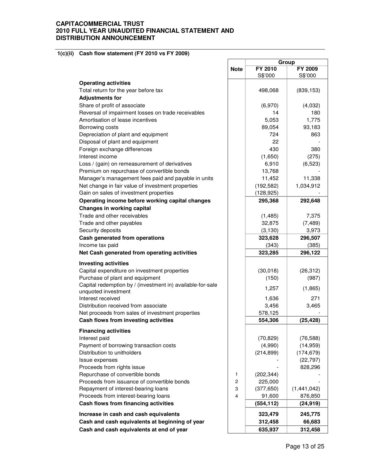#### **1(c)(ii) Cash flow statement (FY 2010 vs FY 2009)**

|                                                            |             | Group          |             |  |
|------------------------------------------------------------|-------------|----------------|-------------|--|
|                                                            | <b>Note</b> | <b>FY 2010</b> | FY 2009     |  |
|                                                            |             | S\$'000        | S\$'000     |  |
| <b>Operating activities</b>                                |             |                |             |  |
| Total return for the year before tax                       |             | 498,068        | (839, 153)  |  |
| <b>Adjustments for</b>                                     |             |                |             |  |
| Share of profit of associate                               |             | (6,970)        | (4,032)     |  |
| Reversal of impairment losses on trade receivables         |             | 14             | 180         |  |
| Amortisation of lease incentives                           |             | 5,053          | 1,775       |  |
| Borrowing costs                                            |             | 89,054         | 93,183      |  |
| Depreciation of plant and equipment                        |             | 724            | 863         |  |
| Disposal of plant and equipment                            |             | 22             |             |  |
| Foreign exchange differences                               |             | 430            | 380         |  |
| Interest income                                            |             | (1,650)        | (275)       |  |
| Loss / (gain) on remeasurement of derivatives              |             | 6,910          | (6,523)     |  |
| Premium on repurchase of convertible bonds                 |             | 13,768         |             |  |
| Manager's management fees paid and payable in units        |             | 11,452         | 11,338      |  |
| Net change in fair value of investment properties          |             | (192, 582)     | 1,034,912   |  |
| Gain on sales of investment properties                     |             | (128, 925)     |             |  |
| Operating income before working capital changes            |             | 295,368        | 292,648     |  |
| <b>Changes in working capital</b>                          |             |                |             |  |
| Trade and other receivables                                |             | (1, 485)       | 7,375       |  |
| Trade and other payables                                   |             | 32,875         | (7, 489)    |  |
| Security deposits                                          |             |                |             |  |
|                                                            |             | (3, 130)       | 3,973       |  |
| Cash generated from operations                             |             | 323,628        | 296,507     |  |
| Income tax paid                                            |             | (343)          | (385)       |  |
| Net Cash generated from operating activities               |             | 323,285        | 296,122     |  |
| <b>Investing activities</b>                                |             |                |             |  |
| Capital expenditure on investment properties               |             | (30,018)       | (26, 312)   |  |
| Purchase of plant and equipment                            |             | (150)          | (987)       |  |
| Capital redemption by / (investment in) available-for-sale |             | 1,257          | (1,865)     |  |
| unquoted investment                                        |             |                |             |  |
| Interest received                                          |             | 1,636          | 271         |  |
| Distribution received from associate                       |             | 3,456          | 3,465       |  |
| Net proceeds from sales of investment properties           |             | 578,125        |             |  |
| Cash flows from investing activities                       |             | 554,306        | (25, 428)   |  |
| <b>Financing activities</b>                                |             |                |             |  |
| Interest paid                                              |             | (70, 829)      | (76, 588)   |  |
| Payment of borrowing transaction costs                     |             | (4,990)        | (14, 959)   |  |
| Distribution to unitholders                                |             | (214, 899)     | (174, 679)  |  |
| Issue expenses                                             |             |                | (22, 797)   |  |
| Proceeds from rights issue                                 |             |                | 828,296     |  |
| Repurchase of convertible bonds                            | 1           | (202, 344)     |             |  |
| Proceeds from issuance of convertible bonds                | 2           | 225,000        |             |  |
| Repayment of interest-bearing loans                        | 3           | (377, 650)     | (1,441,042) |  |
| Proceeds from interest-bearing loans                       | 4           | 91,600         | 876,850     |  |
| Cash flows from financing activities                       |             | (554, 112)     | (24, 919)   |  |
| Increase in cash and cash equivalents                      |             | 323,479        | 245,775     |  |
| Cash and cash equivalents at beginning of year             |             | 312,458        | 66,683      |  |
| Cash and cash equivalents at end of year                   |             |                |             |  |
|                                                            |             | 635,937        | 312,458     |  |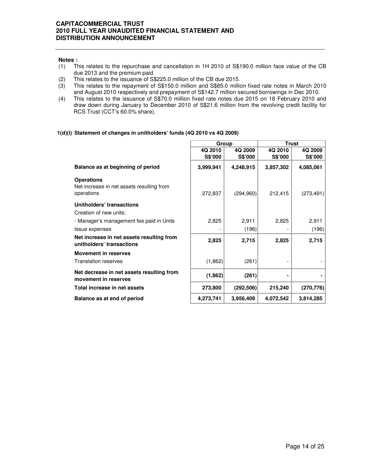- **Notes :**<br>(1) Tl This relates to the repurchase and cancellation in 1H 2010 of S\$190.0 million face value of the CB due 2013 and the premium paid.
- 
- (2) This relates to the issuance of S\$225.0 million of the CB due 2015.<br>(3) This relates to the repayment of S\$150.0 million and S\$85.0 million This relates to the repayment of S\$150.0 million and S\$85.0 million fixed rate notes in March 2010 and August 2010 respectively and prepayment of S\$142.7 million secured borrowings in Dec 2010.
- (4) This relates to the issuance of S\$70.0 million fixed rate notes due 2015 on 18 February 2010 and draw down during January to December 2010 of S\$21.6 million from the revolving credit facility for RCS Trust (CCT's 60.0% share).

г

## **1(d)(i) Statement of changes in unitholders' funds (4Q 2010 vs 4Q 2009)**

|                                                                              | Group              |                           | <b>Trust</b>              |                    |  |
|------------------------------------------------------------------------------|--------------------|---------------------------|---------------------------|--------------------|--|
|                                                                              | 4Q 2010<br>S\$'000 | 4Q 2009<br><b>S\$'000</b> | 4Q 2010<br><b>S\$'000</b> | 4Q 2009<br>S\$'000 |  |
| Balance as at beginning of period                                            | 3,999,941          | 4,248,915                 | 3,857,302                 | 4,085,061          |  |
| <b>Operations</b><br>Net increase in net assets resulting from<br>operations | 272,837            | (294,960)                 | 212,415                   | (273, 491)         |  |
| Unitholders' transactions<br>Creation of new units:                          |                    |                           |                           |                    |  |
| - Manager's management fee paid in Units                                     | 2,825              | 2,911                     | 2,825                     | 2,911              |  |
| Issue expenses                                                               |                    | (196)                     |                           | (196)              |  |
| Net increase in net assets resulting from<br>unitholders' transactions       | 2,825              | 2,715                     | 2,825                     | 2,715              |  |
| <b>Movement in reserves</b>                                                  |                    |                           |                           |                    |  |
| <b>Translation reserves</b>                                                  | (1,862)            | (261)                     |                           |                    |  |
| Net decrease in net assets resulting from<br>movement in reserves            | (1, 862)           | (261)                     |                           |                    |  |
| Total increase in net assets                                                 | 273,800            | (292, 506)                | 215,240                   | (270, 776)         |  |
| Balance as at end of period                                                  | 4,273,741          | 3,956,409                 | 4,072,542                 | 3,814,285          |  |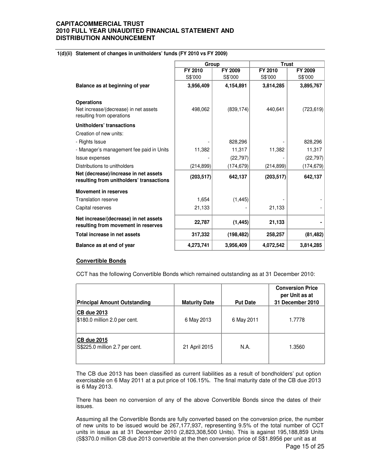## **1(d)(ii) Statement of changes in unitholders' funds (FY 2010 vs FY 2009)**

|                                                                                   | Group      |            | <b>Trust</b> |            |
|-----------------------------------------------------------------------------------|------------|------------|--------------|------------|
|                                                                                   | FY 2010    | FY 2009    | FY 2010      | FY 2009    |
|                                                                                   | S\$'000    | S\$'000    | S\$'000      | S\$'000    |
| Balance as at beginning of year                                                   | 3,956,409  | 4,154,891  | 3,814,285    | 3,895,767  |
| <b>Operations</b>                                                                 |            |            |              |            |
| Net increase/(decrease) in net assets<br>resulting from operations                | 498,062    | (839, 174) | 440,641      | (723, 619) |
| Unitholders' transactions                                                         |            |            |              |            |
| Creation of new units:                                                            |            |            |              |            |
| - Rights Issue                                                                    |            | 828,296    |              | 828,296    |
| - Manager's management fee paid in Units                                          | 11,382     | 11,317     | 11,382       | 11,317     |
| Issue expenses                                                                    |            | (22, 797)  |              | (22, 797)  |
| Distributions to unitholders                                                      | (214, 899) | (174, 679) | (214, 899)   | (174, 679) |
| Net (decrease)/increase in net assets<br>resulting from unitholders' transactions | (203, 517) | 642,137    | (203, 517)   | 642,137    |
| <b>Movement in reserves</b>                                                       |            |            |              |            |
| <b>Translation reserve</b>                                                        | 1,654      | (1, 445)   |              |            |
| Capital reserves                                                                  | 21,133     |            | 21,133       |            |
| Net increase/(decrease) in net assets<br>resulting from movement in reserves      | 22,787     | (1, 445)   | 21,133       |            |
| Total increase in net assets                                                      | 317,332    | (198, 482) | 258,257      | (81, 482)  |
| Balance as at end of year                                                         | 4,273,741  | 3,956,409  | 4,072,542    | 3,814,285  |

#### **Convertible Bonds**

CCT has the following Convertible Bonds which remained outstanding as at 31 December 2010:

| <b>Principal Amount Outstanding</b>                  | <b>Maturity Date</b> | <b>Put Date</b> | <b>Conversion Price</b><br>per Unit as at<br>31 December 2010 |
|------------------------------------------------------|----------------------|-----------------|---------------------------------------------------------------|
| <b>CB due 2013</b><br>$$180.0$ million 2.0 per cent. | 6 May 2013           | 6 May 2011      | 1.7778                                                        |
| <b>CB due 2015</b><br>S\$225.0 million 2.7 per cent. | 21 April 2015        | N.A.            | 1.3560                                                        |

 The CB due 2013 has been classified as current liabilities as a result of bondholders' put option exercisable on 6 May 2011 at a put price of 106.15%. The final maturity date of the CB due 2013 is 6 May 2013.

 There has been no conversion of any of the above Convertible Bonds since the dates of their issues.

Assuming all the Convertible Bonds are fully converted based on the conversion price, the number of new units to be issued would be 267,177,937, representing 9.5% of the total number of CCT units in issue as at 31 December 2010 (2,823,308,500 Units). This is against 195,188,859 Units (S\$370.0 million CB due 2013 convertible at the then conversion price of S\$1.8956 per unit as at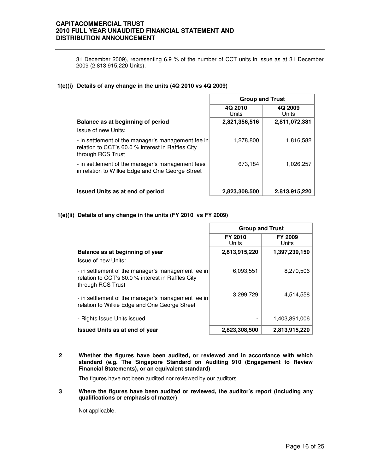31 December 2009), representing 6.9 % of the number of CCT units in issue as at 31 December 2009 (2,813,915,220 Units).

## **1(e)(i) Details of any change in the units (4Q 2010 vs 4Q 2009)**

|                                                                                                                              | <b>Group and Trust</b> |                  |  |
|------------------------------------------------------------------------------------------------------------------------------|------------------------|------------------|--|
|                                                                                                                              | 4Q 2010<br>Units       | 4Q 2009<br>Units |  |
| Balance as at beginning of period                                                                                            | 2,821,356,516          | 2,811,072,381    |  |
| Issue of new Units:                                                                                                          |                        |                  |  |
| - in settlement of the manager's management fee in<br>relation to CCT's 60.0 % interest in Raffles City<br>through RCS Trust | 1,278,800              | 1,816,582        |  |
| - in settlement of the manager's management fees<br>in relation to Wilkie Edge and One George Street                         | 673,184                | 1,026,257        |  |
| <b>Issued Units as at end of period</b>                                                                                      | 2,823,308,500          | 2,813,915,220    |  |

## **1(e)(ii) Details of any change in the units (FY 2010 vs FY 2009)**

|                                                                                                                              | <b>Group and Trust</b> |                         |  |
|------------------------------------------------------------------------------------------------------------------------------|------------------------|-------------------------|--|
|                                                                                                                              | FY 2010<br>Units       | <b>FY 2009</b><br>Units |  |
| Balance as at beginning of year                                                                                              | 2,813,915,220          | 1,397,239,150           |  |
| Issue of new Units:                                                                                                          |                        |                         |  |
| - in settlement of the manager's management fee in<br>relation to CCT's 60.0 % interest in Raffles City<br>through RCS Trust | 6.093.551              | 8,270,506               |  |
| - in settlement of the manager's management fee in<br>relation to Wilkie Edge and One George Street                          | 3,299,729              | 4,514,558               |  |
| - Rights Issue Units issued                                                                                                  |                        | 1,403,891,006           |  |
| <b>Issued Units as at end of year</b>                                                                                        | 2,823,308,500          | 2,813,915,220           |  |

**2 Whether the figures have been audited, or reviewed and in accordance with which standard (e.g. The Singapore Standard on Auditing 910 (Engagement to Review Financial Statements), or an equivalent standard)** 

The figures have not been audited nor reviewed by our auditors.

**3 Where the figures have been audited or reviewed, the auditor's report (including any qualifications or emphasis of matter)** 

Not applicable.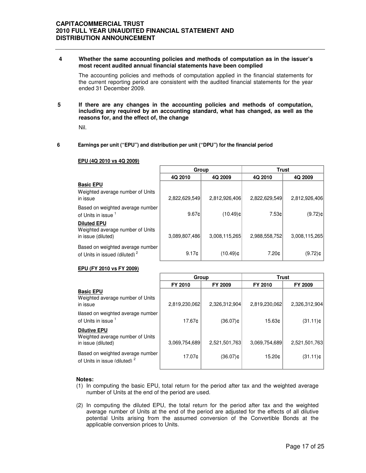**4 Whether the same accounting policies and methods of computation as in the issuer's most recent audited annual financial statements have been complied** 

The accounting policies and methods of computation applied in the financial statements for the current reporting period are consistent with the audited financial statements for the year ended 31 December 2009.

**5 If there are any changes in the accounting policies and methods of computation, including any required by an accounting standard, what has changed, as well as the reasons for, and the effect of, the change**

Nil.

#### **6 Earnings per unit ("EPU") and distribution per unit ("DPU") for the financial period**

|                                                                               | Group         |               |               | Trust         |
|-------------------------------------------------------------------------------|---------------|---------------|---------------|---------------|
|                                                                               | 4Q 2010       | 4Q 2009       | 4Q 2010       | 4Q 2009       |
| <b>Basic EPU</b><br>Weighted average number of Units<br>in issue              | 2,822,629,549 | 2,812,926,406 | 2,822,629,549 | 2,812,926,406 |
| Based on weighted average number<br>of Units in issue 1                       | 9.67c         | $(10.49)$ ¢   | 7.53cl        | $(9.72)$ ¢    |
| <b>Diluted EPU</b><br>Weighted average number of Units<br>in issue (diluted)  | 3,089,807,486 | 3.008.115.265 | 2,988,558,752 | 3,008,115,265 |
| Based on weighted average number<br>of Units in issued (diluted) <sup>2</sup> | 9.17c         | $(10.49)$ ¢   | 7.20¢         | $(9.72)$ ¢    |

#### **EPU (4Q 2010 vs 4Q 2009)**

#### **EPU (FY 2010 vs FY 2009)**

|                                                                               | Group         |               | <b>Trust</b>  |               |
|-------------------------------------------------------------------------------|---------------|---------------|---------------|---------------|
|                                                                               | FY 2010       | FY 2009       | FY 2010       | FY 2009       |
| <b>Basic EPU</b><br>Weighted average number of Units<br>in issue              | 2,819,230,062 | 2,326,312,904 | 2,819,230,062 | 2,326,312,904 |
| Based on weighted average number<br>of Units in issue 1                       | 17.67¢        | $(36.07)$ ¢   | 15.63¢        | $(31.11)$ ¢   |
| <b>Dilutive EPU</b><br>Weighted average number of Units<br>in issue (diluted) | 3,069,754,689 | 2,521,501,763 | 3,069,754,689 | 2,521,501,763 |
| Based on weighted average number<br>of Units in issue (diluted) <sup>2</sup>  | 17.07¢        | (36.07)¢      | 15.20¢        | $(31.11)$ ¢   |

#### **Notes:**

- (1) In computing the basic EPU, total return for the period after tax and the weighted average number of Units at the end of the period are used.
- (2) In computing the diluted EPU, the total return for the period after tax and the weighted average number of Units at the end of the period are adjusted for the effects of all dilutive potential Units arising from the assumed conversion of the Convertible Bonds at the applicable conversion prices to Units.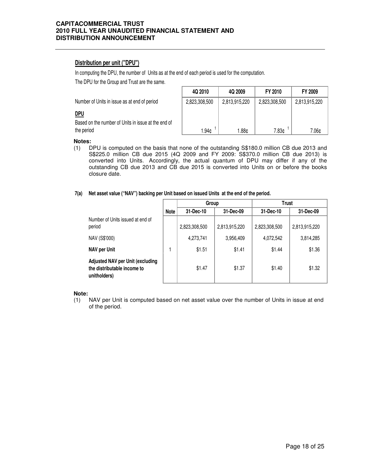## **Distribution per unit ("DPU")**

In computing the DPU, the number of Units as at the end of each period is used for the computation.

The DPU for the Group and Trust are the same.

Number of Units in issue as at end of period

## **DPU**

Based on the number of Units in issue at the end of the period

| 4Q 2010       | 4Q 2009       | FY 2010       | <b>FY 2009</b> |
|---------------|---------------|---------------|----------------|
| 2,823,308,500 | 2,813,915,220 | 2,823,308,500 | 2,813,915,220  |
|               |               |               |                |
|               |               |               |                |
| 1.94¢         | 1.88¢         | 7.83¢         | 7.06¢          |

#### **Notes:**

(1) DPU is computed on the basis that none of the outstanding S\$180.0 million CB due 2013 and S\$225.0 million CB due 2015 (4Q 2009 and FY 2009: S\$370.0 million CB due 2013) is converted into Units. Accordingly, the actual quantum of DPU may differ if any of the outstanding CB due 2013 and CB due 2015 is converted into Units on or before the books closure date.

#### **7(a) Net asset value ("NAV") backing per Unit based on issued Units at the end of the period.**

|                                                                                        |             | Group         |               | <b>Trust</b>  |               |
|----------------------------------------------------------------------------------------|-------------|---------------|---------------|---------------|---------------|
|                                                                                        | <b>Note</b> | 31-Dec-10     | 31-Dec-09     | 31-Dec-10     | 31-Dec-09     |
| Number of Units issued at end of<br>period                                             |             | 2,823,308,500 | 2,813,915,220 | 2,823,308,500 | 2,813,915,220 |
| NAV (S\$'000)                                                                          |             | 4,273,741     | 3,956,409     | 4,072,542     | 3,814,285     |
| <b>NAV per Unit</b>                                                                    |             | \$1.51        | \$1.41        | \$1.44        | \$1.36        |
| <b>Adjusted NAV per Unit (excluding</b><br>the distributable income to<br>unitholders) |             | \$1.47        | \$1.37        | \$1.40        | \$1.32        |

#### **Note:**

(1) NAV per Unit is computed based on net asset value over the number of Units in issue at end of the period.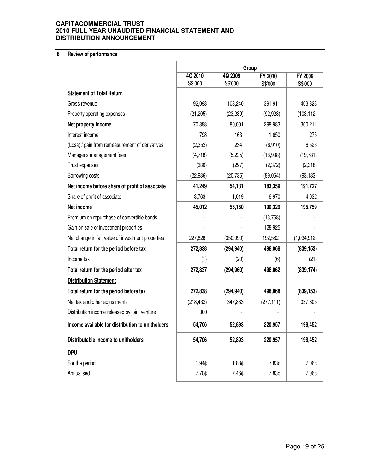## **8 Review of performance**

|                                                   | Group                                    |            |            |             |
|---------------------------------------------------|------------------------------------------|------------|------------|-------------|
|                                                   | 4Q 2009<br>4Q 2010<br>FY 2010<br>FY 2009 |            |            |             |
| <b>Statement of Total Return</b>                  | S\$'000                                  | S\$'000    | S\$'000    | S\$'000     |
| Gross revenue                                     | 92,093                                   | 103,240    | 391,911    | 403,323     |
|                                                   |                                          |            |            |             |
| Property operating expenses                       | (21, 205)                                | (23, 239)  | (92, 928)  | (103, 112)  |
| Net property income                               | 70,888                                   | 80,001     | 298,983    | 300,211     |
| Interest income                                   | 798                                      | 163        | 1,650      | 275         |
| (Loss) / gain from remeasurement of derivatives   | (2,353)                                  | 234        | (6,910)    | 6,523       |
| Manager's management fees                         | (4,718)                                  | (5,235)    | (18,938)   | (19, 781)   |
| Trust expenses                                    | (380)                                    | (297)      | (2,372)    | (2,318)     |
| Borrowing costs                                   | (22, 986)                                | (20, 735)  | (89, 054)  | (93, 183)   |
| Net income before share of profit of associate    | 41,249                                   | 54,131     | 183,359    | 191,727     |
| Share of profit of associate                      | 3,763                                    | 1,019      | 6,970      | 4,032       |
| Net income                                        | 45,012                                   | 55,150     | 190,329    | 195,759     |
| Premium on repurchase of convertible bonds        |                                          |            | (13,768)   |             |
| Gain on sale of investment properties             |                                          |            | 128,925    |             |
| Net change in fair value of investment properties | 227,826                                  | (350,090)  | 192,582    | (1,034,912) |
| Total return for the period before tax            | 272,838                                  | (294, 940) | 498,068    | (839, 153)  |
| Income tax                                        | (1)                                      | (20)       | (6)        | (21)        |
| Total return for the period after tax             | 272,837                                  | (294, 960) | 498,062    | (839, 174)  |
| <b>Distribution Statement</b>                     |                                          |            |            |             |
| Total return for the period before tax            | 272,838                                  | (294, 940) | 498,068    | (839, 153)  |
| Net tax and other adjustments                     | (218, 432)                               | 347,833    | (277, 111) | 1,037,605   |
| Distribution income released by joint venture     | 300                                      |            |            |             |
| Income available for distribution to unitholders  | 54,706                                   | 52,893     | 220,957    | 198,452     |
| Distributable income to unitholders               | 54,706                                   | 52,893     | 220,957    | 198,452     |
| <b>DPU</b>                                        |                                          |            |            |             |
| For the period                                    | 1.94¢                                    | 1.88¢      | 7.83¢      | 7.06¢       |
| Annualised                                        | 7.70¢                                    | 7.46¢      | 7.83¢      | 7.06¢       |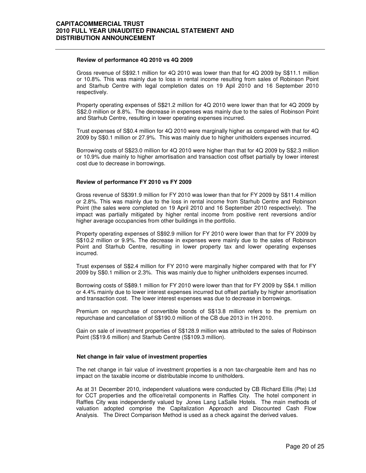#### **Review of performance 4Q 2010 vs 4Q 2009**

 Gross revenue of S\$92.1 million for 4Q 2010 was lower than that for 4Q 2009 by S\$11.1 million or 10.8%. This was mainly due to loss in rental income resulting from sales of Robinson Point and Starhub Centre with legal completion dates on 19 Apil 2010 and 16 September 2010 respectively.

Property operating expenses of S\$21.2 million for 4Q 2010 were lower than that for 4Q 2009 by S\$2.0 million or 8.8%. The decrease in expenses was mainly due to the sales of Robinson Point and Starhub Centre, resulting in lower operating expenses incurred.

Trust expenses of S\$0.4 million for 4Q 2010 were marginally higher as compared with that for 4Q 2009 by S\$0.1 million or 27.9%. This was mainly due to higher unitholders expenses incurred.

Borrowing costs of S\$23.0 million for 4Q 2010 were higher than that for 4Q 2009 by S\$2.3 million or 10.9% due mainly to higher amortisation and transaction cost offset partially by lower interest cost due to decrease in borrowings.

#### **Review of performance FY 2010 vs FY 2009**

Gross revenue of S\$391.9 million for FY 2010 was lower than that for FY 2009 by S\$11.4 million or 2.8%. This was mainly due to the loss in rental income from Starhub Centre and Robinson Point (the sales were completed on 19 April 2010 and 16 September 2010 respectively). The impact was partially mitigated by higher rental income from positive rent reversions and/or higher average occupancies from other buildings in the portfolio.

Property operating expenses of S\$92.9 million for FY 2010 were lower than that for FY 2009 by S\$10.2 million or 9.9%. The decrease in expenses were mainly due to the sales of Robinson Point and Starhub Centre, resulting in lower property tax and lower operating expenses incurred.

Trust expenses of S\$2.4 million for FY 2010 were marginally higher compared with that for FY 2009 by S\$0.1 million or 2.3%. This was mainly due to higher unitholders expenses incurred.

Borrowing costs of S\$89.1 million for FY 2010 were lower than that for FY 2009 by S\$4.1 million or 4.4% mainly due to lower interest expenses incurred but offset partially by higher amortisation and transaction cost. The lower interest expenses was due to decrease in borrowings.

Premium on repurchase of convertible bonds of S\$13.8 million refers to the premium on repurchase and cancellation of S\$190.0 million of the CB due 2013 in 1H 2010.

Gain on sale of investment properties of S\$128.9 million was attributed to the sales of Robinson Point (S\$19.6 million) and Starhub Centre (S\$109.3 million).

#### **Net change in fair value of investment properties**

The net change in fair value of investment properties is a non tax-chargeable item and has no impact on the taxable income or distributable income to unitholders.

As at 31 December 2010, independent valuations were conducted by CB Richard Ellis (Pte) Ltd for CCT properties and the office/retail components in Raffles City. The hotel component in Raffles City was independently valued by Jones Lang LaSalle Hotels. The main methods of valuation adopted comprise the Capitalization Approach and Discounted Cash Flow Analysis. The Direct Comparison Method is used as a check against the derived values.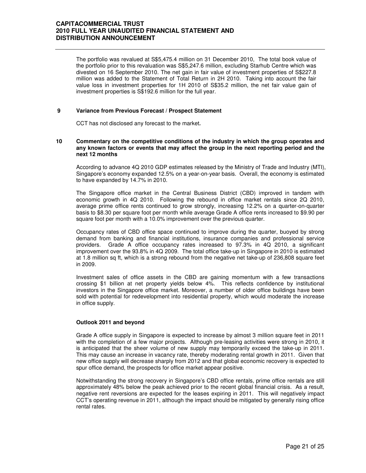The portfolio was revalued at S\$5,475.4 million on 31 December 2010, The total book value of the portfolio prior to this revaluation was S\$5,247.6 million, excluding Starhub Centre which was divested on 16 September 2010. The net gain in fair value of investment properties of S\$227.8 million was added to the Statement of Total Return in 2H 2010. Taking into account the fair value loss in investment properties for 1H 2010 of S\$35.2 million, the net fair value gain of investment properties is S\$192.6 million for the full year.

#### **9 Variance from Previous Forecast / Prospect Statement**

CCT has not disclosed any forecast to the market**.** 

#### **10 Commentary on the competitive conditions of the industry in which the group operates and any known factors or events that may affect the group in the next reporting period and the next 12 months**

According to advance 4Q 2010 GDP estimates released by the Ministry of Trade and Industry (MTI), Singapore's economy expanded 12.5% on a year-on-year basis. Overall, the economy is estimated to have expanded by 14.7% in 2010.

The Singapore office market in the Central Business District (CBD) improved in tandem with economic growth in 4Q 2010. Following the rebound in office market rentals since 2Q 2010, average prime office rents continued to grow strongly, increasing 12.2% on a quarter-on-quarter basis to \$8.30 per square foot per month while average Grade A office rents increased to \$9.90 per square foot per month with a 10.0% improvement over the previous quarter.

Occupancy rates of CBD office space continued to improve during the quarter, buoyed by strong demand from banking and financial institutions, insurance companies and professional service providers. Grade A office occupancy rates increased to 97.3% in 4Q 2010, a significant improvement over the 93.8% in 4Q 2009. The total office take-up in Singapore in 2010 is estimated at 1.8 million sq ft, which is a strong rebound from the negative net take-up of 236,808 square feet in 2009.

Investment sales of office assets in the CBD are gaining momentum with a few transactions crossing \$1 billion at net property yields below 4%. This reflects confidence by institutional investors in the Singapore office market. Moreover, a number of older office buildings have been sold with potential for redevelopment into residential property, which would moderate the increase in office supply.

#### **Outlook 2011 and beyond**

Grade A office supply in Singapore is expected to increase by almost 3 million square feet in 2011 with the completion of a few major projects. Although pre-leasing activities were strong in 2010, it is anticipated that the sheer volume of new supply may temporarily exceed the take-up in 2011. This may cause an increase in vacancy rate, thereby moderating rental growth in 2011. Given that new office supply will decrease sharply from 2012 and that global economic recovery is expected to spur office demand, the prospects for office market appear positive.

Notwithstanding the strong recovery in Singapore's CBD office rentals, prime office rentals are still approximately 48% below the peak achieved prior to the recent global financial crisis. As a result, negative rent reversions are expected for the leases expiring in 2011. This will negatively impact CCT's operating revenue in 2011, although the impact should be mitigated by generally rising office rental rates.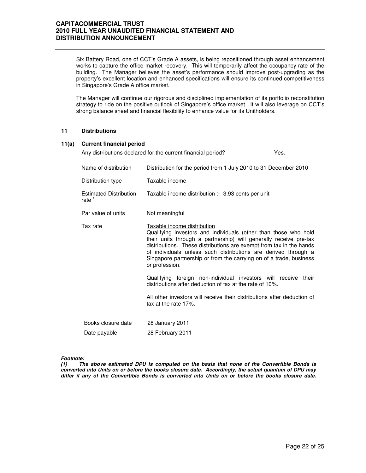Six Battery Road, one of CCT's Grade A assets, is being repositioned through asset enhancement works to capture the office market recovery. This will temporarily affect the occupancy rate of the building. The Manager believes the asset's performance should improve post-upgrading as the property's excellent location and enhanced specifications will ensure its continued competitiveness in Singapore's Grade A office market.

The Manager will continue our rigorous and disciplined implementation of its portfolio reconstitution strategy to ride on the positive outlook of Singapore's office market. It will also leverage on CCT's strong balance sheet and financial flexibility to enhance value for its Unitholders.

#### **11 Distributions**

#### **11(a) Current financial period**

|                                           | Any distributions declared for the current financial period?                                                                                                                                                                                                                                                                                                                                         | Yes. |
|-------------------------------------------|------------------------------------------------------------------------------------------------------------------------------------------------------------------------------------------------------------------------------------------------------------------------------------------------------------------------------------------------------------------------------------------------------|------|
| Name of distribution                      | Distribution for the period from 1 July 2010 to 31 December 2010                                                                                                                                                                                                                                                                                                                                     |      |
| Distribution type                         | Taxable income                                                                                                                                                                                                                                                                                                                                                                                       |      |
| <b>Estimated Distribution</b><br>rate $1$ | Taxable income distribution :- 3.93 cents per unit                                                                                                                                                                                                                                                                                                                                                   |      |
| Par value of units                        | Not meaningful                                                                                                                                                                                                                                                                                                                                                                                       |      |
| Tax rate                                  | Taxable income distribution<br>Qualifying investors and individuals (other than those who hold<br>their units through a partnership) will generally receive pre-tax<br>distributions. These distributions are exempt from tax in the hands<br>of individuals unless such distributions are derived through a<br>Singapore partnership or from the carrying on of a trade, business<br>or profession. |      |
|                                           | Qualifying foreign non-individual investors will receive their<br>distributions after deduction of tax at the rate of 10%.                                                                                                                                                                                                                                                                           |      |
|                                           | All other investors will receive their distributions after deduction of<br>tax at the rate 17%.                                                                                                                                                                                                                                                                                                      |      |
| Books closure date                        | 28 January 2011                                                                                                                                                                                                                                                                                                                                                                                      |      |
| Date payable                              | 28 February 2011                                                                                                                                                                                                                                                                                                                                                                                     |      |

#### **Footnote:**

**(1) The above estimated DPU is computed on the basis that none of the Convertible Bonds is converted into Units on or before the books closure date. Accordingly, the actual quantum of DPU may differ if any of the Convertible Bonds is converted into Units on or before the books closure date.**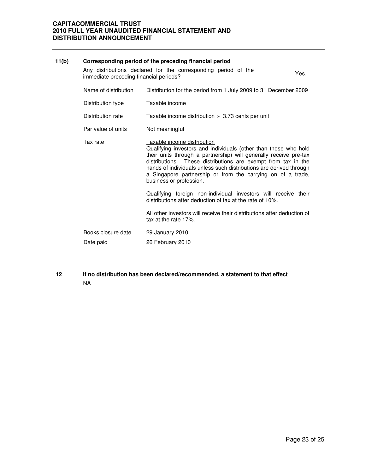| 11(b) |                                        | Corresponding period of the preceding financial period                                                                                                                                                                                                                                                                                                                                               |      |
|-------|----------------------------------------|------------------------------------------------------------------------------------------------------------------------------------------------------------------------------------------------------------------------------------------------------------------------------------------------------------------------------------------------------------------------------------------------------|------|
|       | immediate preceding financial periods? | Any distributions declared for the corresponding period of the                                                                                                                                                                                                                                                                                                                                       | Yes. |
|       | Name of distribution                   | Distribution for the period from 1 July 2009 to 31 December 2009                                                                                                                                                                                                                                                                                                                                     |      |
|       | Distribution type                      | Taxable income                                                                                                                                                                                                                                                                                                                                                                                       |      |
|       | Distribution rate                      | Taxable income distribution :- 3.73 cents per unit                                                                                                                                                                                                                                                                                                                                                   |      |
|       | Par value of units                     | Not meaningful                                                                                                                                                                                                                                                                                                                                                                                       |      |
|       | Tax rate                               | Taxable income distribution<br>Qualifying investors and individuals (other than those who hold<br>their units through a partnership) will generally receive pre-tax<br>distributions. These distributions are exempt from tax in the<br>hands of individuals unless such distributions are derived through<br>a Singapore partnership or from the carrying on of a trade,<br>business or profession. |      |
|       |                                        | Qualifying foreign non-individual investors will receive their<br>distributions after deduction of tax at the rate of 10%.                                                                                                                                                                                                                                                                           |      |
|       |                                        | All other investors will receive their distributions after deduction of<br>tax at the rate 17%.                                                                                                                                                                                                                                                                                                      |      |
|       | Books closure date                     | 29 January 2010                                                                                                                                                                                                                                                                                                                                                                                      |      |
|       | Date paid                              | 26 February 2010                                                                                                                                                                                                                                                                                                                                                                                     |      |

**12 If no distribution has been declared/recommended, a statement to that effect** NA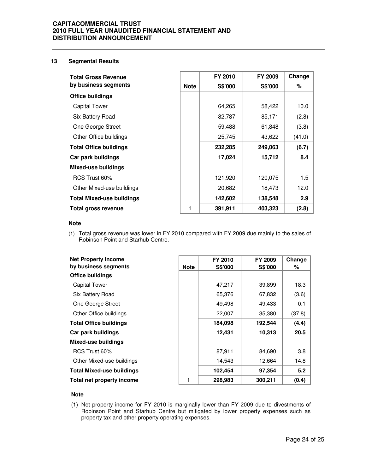#### **13 Segmental Results**

| <b>Total Gross Revenue</b>       |             | FY 2010        | FY 2009 | Change |
|----------------------------------|-------------|----------------|---------|--------|
| by business segments             | <b>Note</b> | <b>S\$'000</b> | S\$'000 | %      |
| Office buildings                 |             |                |         |        |
| Capital Tower                    |             | 64,265         | 58,422  | 10.0   |
| Six Battery Road                 |             | 82,787         | 85,171  | (2.8)  |
| One George Street                |             | 59,488         | 61,848  | (3.8)  |
| Other Office buildings           |             | 25,745         | 43,622  | (41.0) |
| <b>Total Office buildings</b>    |             | 232,285        | 249,063 | (6.7)  |
| Car park buildings               |             | 17,024         | 15,712  | 8.4    |
| <b>Mixed-use buildings</b>       |             |                |         |        |
| RCS Trust 60%                    |             | 121,920        | 120,075 | 1.5    |
| Other Mixed-use buildings        |             | 20,682         | 18,473  | 12.0   |
| <b>Total Mixed-use buildings</b> |             | 142,602        | 138,548 | 2.9    |
| Total gross revenue              | 1           | 391,911        | 403,323 | (2.8)  |

#### **Note**

(1) Total gross revenue was lower in FY 2010 compared with FY 2009 due mainly to the sales of Robinson Point and Starhub Centre.

| <b>Net Property Income</b>       |             | FY 2010        | FY 2009        | Change |
|----------------------------------|-------------|----------------|----------------|--------|
| by business segments             | <b>Note</b> | <b>S\$'000</b> | <b>S\$'000</b> | %      |
| <b>Office buildings</b>          |             |                |                |        |
| <b>Capital Tower</b>             |             | 47,217         | 39,899         | 18.3   |
| Six Battery Road                 |             | 65,376         | 67,832         | (3.6)  |
| One George Street                |             | 49,498         | 49,433         | 0.1    |
| Other Office buildings           |             | 22,007         | 35,380         | (37.8) |
| <b>Total Office buildings</b>    |             | 184,098        | 192,544        | (4.4)  |
| Car park buildings               |             | 12,431         | 10,313         | 20.5   |
| <b>Mixed-use buildings</b>       |             |                |                |        |
| RCS Trust 60%                    |             | 87,911         | 84,690         | 3.8    |
| Other Mixed-use buildings        |             | 14,543         | 12,664         | 14.8   |
| <b>Total Mixed-use buildings</b> |             | 102,454        | 97,354         | 5.2    |
| Total net property income        |             | 298,983        | 300,211        | (0.4)  |

## **Note**

(1) Net property income for FY 2010 is marginally lower than FY 2009 due to divestments of Robinson Point and Starhub Centre but mitigated by lower property expenses such as property tax and other property operating expenses.